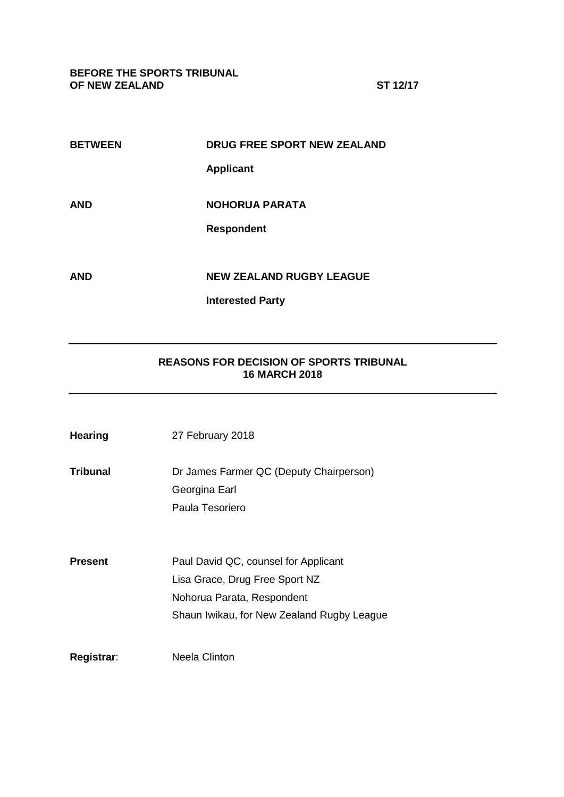**BEFORE THE SPORTS TRIBUNAL OF NEW ZEALAND ST 12/17**

| <b>BETWEEN</b> | <b>DRUG FREE SPORT NEW ZEALAND</b> |
|----------------|------------------------------------|
|                | <b>Applicant</b>                   |
| AND            | <b>NOHORUA PARATA</b>              |
|                |                                    |
|                | <b>Respondent</b>                  |
|                |                                    |
| <b>AND</b>     | <b>NEW ZEALAND RUGBY LEAGUE</b>    |
|                | <b>Interested Party</b>            |
|                |                                    |

# **REASONS FOR DECISION OF SPORTS TRIBUNAL 16 MARCH 2018**

| <b>Hearing</b> | 27 February 2018                                                                                                                                   |
|----------------|----------------------------------------------------------------------------------------------------------------------------------------------------|
| Tribunal       | Dr James Farmer QC (Deputy Chairperson)<br>Georgina Earl<br>Paula Tesoriero                                                                        |
|                |                                                                                                                                                    |
| Present        | Paul David QC, counsel for Applicant<br>Lisa Grace, Drug Free Sport NZ<br>Nohorua Parata, Respondent<br>Shaun Iwikau, for New Zealand Rugby League |
| Registrar:     | <b>Neela Clinton</b>                                                                                                                               |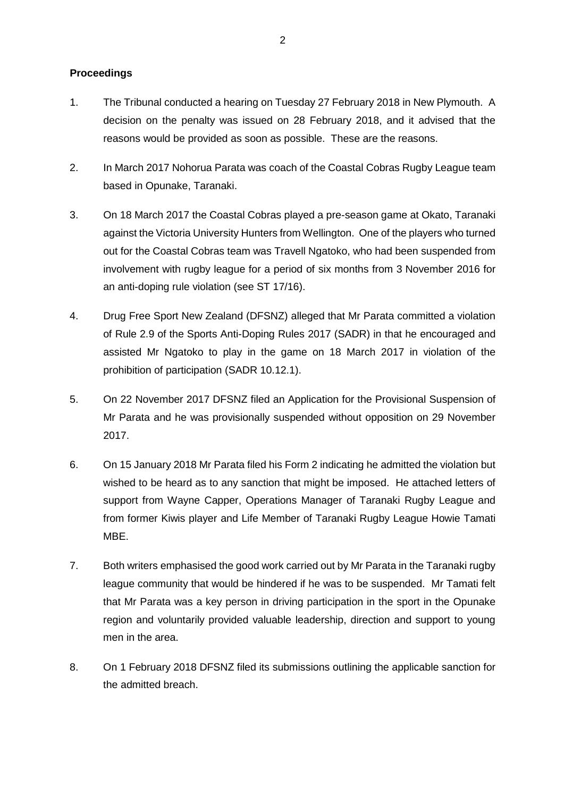## **Proceedings**

- 1. The Tribunal conducted a hearing on Tuesday 27 February 2018 in New Plymouth. A decision on the penalty was issued on 28 February 2018, and it advised that the reasons would be provided as soon as possible. These are the reasons.
- 2. In March 2017 Nohorua Parata was coach of the Coastal Cobras Rugby League team based in Opunake, Taranaki.
- 3. On 18 March 2017 the Coastal Cobras played a pre-season game at Okato, Taranaki against the Victoria University Hunters from Wellington. One of the players who turned out for the Coastal Cobras team was Travell Ngatoko, who had been suspended from involvement with rugby league for a period of six months from 3 November 2016 for an anti-doping rule violation (see ST 17/16).
- 4. Drug Free Sport New Zealand (DFSNZ) alleged that Mr Parata committed a violation of Rule 2.9 of the Sports Anti-Doping Rules 2017 (SADR) in that he encouraged and assisted Mr Ngatoko to play in the game on 18 March 2017 in violation of the prohibition of participation (SADR 10.12.1).
- 5. On 22 November 2017 DFSNZ filed an Application for the Provisional Suspension of Mr Parata and he was provisionally suspended without opposition on 29 November 2017.
- 6. On 15 January 2018 Mr Parata filed his Form 2 indicating he admitted the violation but wished to be heard as to any sanction that might be imposed. He attached letters of support from Wayne Capper, Operations Manager of Taranaki Rugby League and from former Kiwis player and Life Member of Taranaki Rugby League Howie Tamati MBE.
- 7. Both writers emphasised the good work carried out by Mr Parata in the Taranaki rugby league community that would be hindered if he was to be suspended. Mr Tamati felt that Mr Parata was a key person in driving participation in the sport in the Opunake region and voluntarily provided valuable leadership, direction and support to young men in the area.
- 8. On 1 February 2018 DFSNZ filed its submissions outlining the applicable sanction for the admitted breach.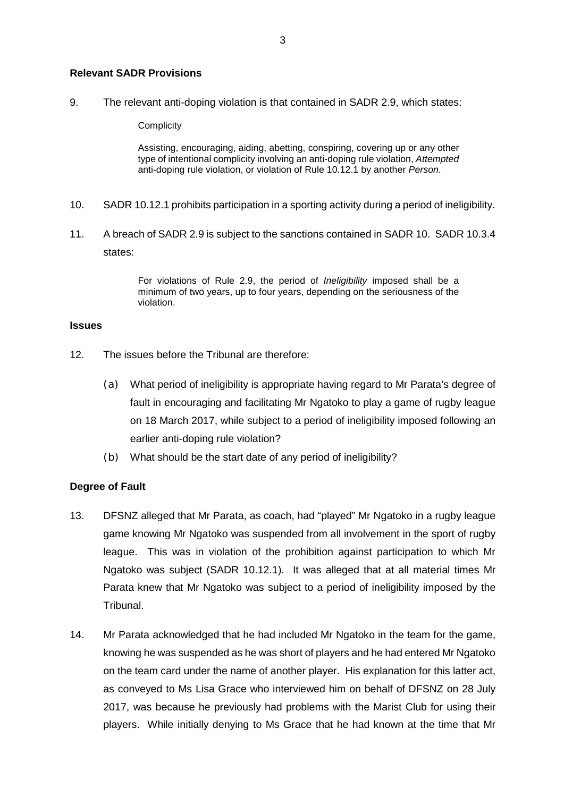### **Relevant SADR Provisions**

9. The relevant anti-doping violation is that contained in SADR 2.9, which states:

**Complicity** 

Assisting, encouraging, aiding, abetting, conspiring, covering up or any other type of intentional complicity involving an anti-doping rule violation, *Attempted* anti-doping rule violation, or violation of Rule 10.12.1 by another *Person*.

- 10. SADR 10.12.1 prohibits participation in a sporting activity during a period of ineligibility.
- 11. A breach of SADR 2.9 is subject to the sanctions contained in SADR 10. SADR 10.3.4 states:

For violations of Rule 2.9, the period of *Ineligibility* imposed shall be a minimum of two years, up to four years, depending on the seriousness of the violation.

#### **Issues**

- 12. The issues before the Tribunal are therefore:
	- (a) What period of ineligibility is appropriate having regard to Mr Parata's degree of fault in encouraging and facilitating Mr Ngatoko to play a game of rugby league on 18 March 2017, while subject to a period of ineligibility imposed following an earlier anti-doping rule violation?
	- (b) What should be the start date of any period of ineligibility?

### **Degree of Fault**

- 13. DFSNZ alleged that Mr Parata, as coach, had "played" Mr Ngatoko in a rugby league game knowing Mr Ngatoko was suspended from all involvement in the sport of rugby league. This was in violation of the prohibition against participation to which Mr Ngatoko was subject (SADR 10.12.1). It was alleged that at all material times Mr Parata knew that Mr Ngatoko was subject to a period of ineligibility imposed by the Tribunal.
- 14. Mr Parata acknowledged that he had included Mr Ngatoko in the team for the game, knowing he was suspended as he was short of players and he had entered Mr Ngatoko on the team card under the name of another player. His explanation for this latter act, as conveyed to Ms Lisa Grace who interviewed him on behalf of DFSNZ on 28 July 2017, was because he previously had problems with the Marist Club for using their players. While initially denying to Ms Grace that he had known at the time that Mr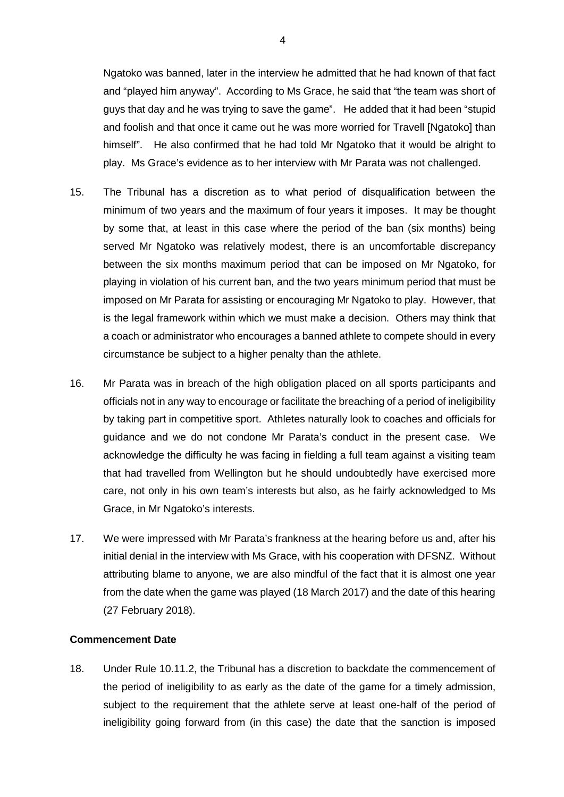Ngatoko was banned, later in the interview he admitted that he had known of that fact and "played him anyway". According to Ms Grace, he said that "the team was short of guys that day and he was trying to save the game". He added that it had been "stupid and foolish and that once it came out he was more worried for Travell [Ngatoko] than himself". He also confirmed that he had told Mr Ngatoko that it would be alright to play. Ms Grace's evidence as to her interview with Mr Parata was not challenged.

- 15. The Tribunal has a discretion as to what period of disqualification between the minimum of two years and the maximum of four years it imposes. It may be thought by some that, at least in this case where the period of the ban (six months) being served Mr Ngatoko was relatively modest, there is an uncomfortable discrepancy between the six months maximum period that can be imposed on Mr Ngatoko, for playing in violation of his current ban, and the two years minimum period that must be imposed on Mr Parata for assisting or encouraging Mr Ngatoko to play. However, that is the legal framework within which we must make a decision. Others may think that a coach or administrator who encourages a banned athlete to compete should in every circumstance be subject to a higher penalty than the athlete.
- 16. Mr Parata was in breach of the high obligation placed on all sports participants and officials not in any way to encourage or facilitate the breaching of a period of ineligibility by taking part in competitive sport. Athletes naturally look to coaches and officials for guidance and we do not condone Mr Parata's conduct in the present case. We acknowledge the difficulty he was facing in fielding a full team against a visiting team that had travelled from Wellington but he should undoubtedly have exercised more care, not only in his own team's interests but also, as he fairly acknowledged to Ms Grace, in Mr Ngatoko's interests.
- 17. We were impressed with Mr Parata's frankness at the hearing before us and, after his initial denial in the interview with Ms Grace, with his cooperation with DFSNZ. Without attributing blame to anyone, we are also mindful of the fact that it is almost one year from the date when the game was played (18 March 2017) and the date of this hearing (27 February 2018).

### **Commencement Date**

18. Under Rule 10.11.2, the Tribunal has a discretion to backdate the commencement of the period of ineligibility to as early as the date of the game for a timely admission, subject to the requirement that the athlete serve at least one-half of the period of ineligibility going forward from (in this case) the date that the sanction is imposed